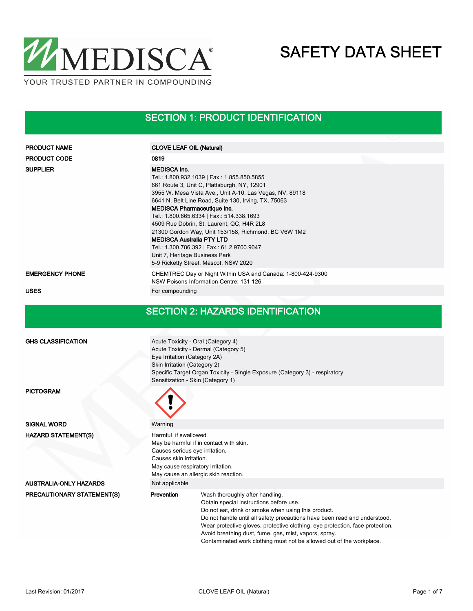

## SECTION 1: PRODUCT IDENTIFICATION

| <b>PRODUCT NAME</b>        | <b>CLOVE LEAF OIL (Natural)</b>                                                                                                                                                                                                                                                                                                                                                                                                                                                                                                                                                            |  |  |  |  |  |
|----------------------------|--------------------------------------------------------------------------------------------------------------------------------------------------------------------------------------------------------------------------------------------------------------------------------------------------------------------------------------------------------------------------------------------------------------------------------------------------------------------------------------------------------------------------------------------------------------------------------------------|--|--|--|--|--|
| <b>PRODUCT CODE</b>        | 0819                                                                                                                                                                                                                                                                                                                                                                                                                                                                                                                                                                                       |  |  |  |  |  |
| <b>SUPPLIER</b>            | <b>MEDISCA Inc.</b><br>Tel.: 1.800.932.1039   Fax.: 1.855.850.5855<br>661 Route 3, Unit C, Plattsburgh, NY, 12901<br>3955 W. Mesa Vista Ave., Unit A-10, Las Vegas, NV, 89118<br>6641 N. Belt Line Road, Suite 130, Irving, TX, 75063<br><b>MEDISCA Pharmaceutique Inc.</b><br>Tel.: 1.800.665.6334   Fax.: 514.338.1693<br>4509 Rue Dobrin, St. Laurent, QC, H4R 2L8<br>21300 Gordon Way, Unit 153/158, Richmond, BC V6W 1M2<br><b>MEDISCA Australia PTY LTD</b><br>Tel.: 1.300.786.392   Fax.: 61.2.9700.9047<br>Unit 7, Heritage Business Park<br>5-9 Ricketty Street, Mascot, NSW 2020 |  |  |  |  |  |
| <b>EMERGENCY PHONE</b>     | CHEMTREC Day or Night Within USA and Canada: 1-800-424-9300<br>NSW Poisons Information Centre: 131 126                                                                                                                                                                                                                                                                                                                                                                                                                                                                                     |  |  |  |  |  |
| <b>USES</b>                | For compounding                                                                                                                                                                                                                                                                                                                                                                                                                                                                                                                                                                            |  |  |  |  |  |
|                            | <b>SECTION 2: HAZARDS IDENTIFICATION</b>                                                                                                                                                                                                                                                                                                                                                                                                                                                                                                                                                   |  |  |  |  |  |
| <b>GHS CLASSIFICATION</b>  | Acute Toxicity - Oral (Category 4)<br>Acute Toxicity - Dermal (Category 5)<br>Eye Irritation (Category 2A)<br>Skin Irritation (Category 2)<br>Specific Target Organ Toxicity - Single Exposure (Category 3) - respiratory<br>Sensitization - Skin (Category 1)                                                                                                                                                                                                                                                                                                                             |  |  |  |  |  |
| <b>PICTOGRAM</b>           |                                                                                                                                                                                                                                                                                                                                                                                                                                                                                                                                                                                            |  |  |  |  |  |
| <b>SIGNAL WORD</b>         | Warning                                                                                                                                                                                                                                                                                                                                                                                                                                                                                                                                                                                    |  |  |  |  |  |
| <b>HAZARD STATEMENT(S)</b> | Harmful if swallowed<br>May be harmful if in contact with skin.<br>Causes serious eye irritation.<br>Causes skin irritation.<br>May cause respiratory irritation.<br>May cause an allergic skin reaction.                                                                                                                                                                                                                                                                                                                                                                                  |  |  |  |  |  |
| AUSTRALIA-ONLY HAZARDS     | Not applicable                                                                                                                                                                                                                                                                                                                                                                                                                                                                                                                                                                             |  |  |  |  |  |
| PRECAUTIONARY STATEMENT(S) | Prevention<br>Wash thoroughly after handling.<br>Obtain special instructions before use.<br>Do not eat, drink or smoke when using this product.<br>Do not handle until all safety precautions have been read and understood.<br>Wear protective gloves, protective clothing, eye protection, face protection.<br>Avoid breathing dust, fume, gas, mist, vapors, spray.<br>Contaminated work clothing must not be allowed out of the workplace.                                                                                                                                             |  |  |  |  |  |
|                            |                                                                                                                                                                                                                                                                                                                                                                                                                                                                                                                                                                                            |  |  |  |  |  |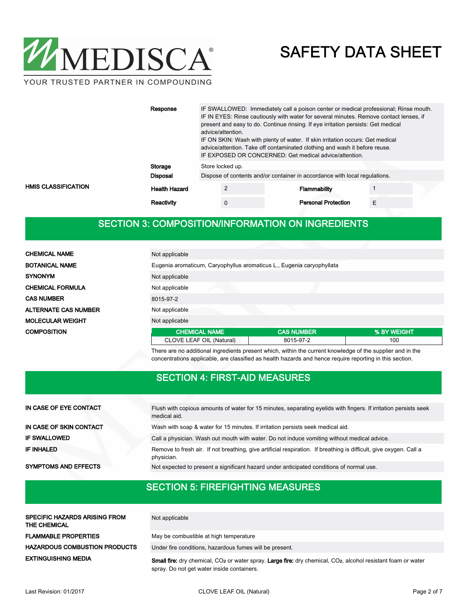

|                     | Response             | IF SWALLOWED: Immediately call a poison center or medical professional; Rinse mouth.<br>IF IN EYES: Rinse cautiously with water for several minutes. Remove contact lenses, if<br>present and easy to do. Continue rinsing. If eye irritation persists: Get medical<br>advice/attention.<br>IF ON SKIN: Wash with plenty of water. If skin irritation occurs: Get medical<br>advice/attention. Take off contaminated clothing and wash it before reuse.<br>IF EXPOSED OR CONCERNED: Get medical advice/attention. |                  |  |                                                                            |   |  |  |
|---------------------|----------------------|-------------------------------------------------------------------------------------------------------------------------------------------------------------------------------------------------------------------------------------------------------------------------------------------------------------------------------------------------------------------------------------------------------------------------------------------------------------------------------------------------------------------|------------------|--|----------------------------------------------------------------------------|---|--|--|
|                     | Storage              |                                                                                                                                                                                                                                                                                                                                                                                                                                                                                                                   | Store locked up. |  |                                                                            |   |  |  |
|                     | Disposal             |                                                                                                                                                                                                                                                                                                                                                                                                                                                                                                                   |                  |  | Dispose of contents and/or container in accordance with local regulations. |   |  |  |
| HMIS CLASSIFICATION | <b>Health Hazard</b> |                                                                                                                                                                                                                                                                                                                                                                                                                                                                                                                   |                  |  | <b>Flammability</b>                                                        |   |  |  |
|                     | Reactivity           |                                                                                                                                                                                                                                                                                                                                                                                                                                                                                                                   | 0                |  | <b>Personal Protection</b>                                                 | Е |  |  |

#### SECTION 3: COMPOSITION/INFORMATION ON INGREDIENTS

| <b>CHEMICAL NAME</b>        | Not applicable                                                                                             |                   |             |
|-----------------------------|------------------------------------------------------------------------------------------------------------|-------------------|-------------|
| <b>BOTANICAL NAME</b>       | Eugenia aromaticum, Caryophyllus aromaticus L., Eugenia caryophyllata                                      |                   |             |
| <b>SYNONYM</b>              | Not applicable                                                                                             |                   |             |
| <b>CHEMICAL FORMULA</b>     | Not applicable                                                                                             |                   |             |
| <b>CAS NUMBER</b>           | 8015-97-2                                                                                                  |                   |             |
| <b>ALTERNATE CAS NUMBER</b> | Not applicable                                                                                             |                   |             |
| <b>MOLECULAR WEIGHT</b>     | Not applicable                                                                                             |                   |             |
| <b>COMPOSITION</b>          | <b>CHEMICAL NAME</b>                                                                                       | <b>CAS NUMBER</b> | % BY WEIGHT |
|                             | CLOVE LEAF OIL (Natural)                                                                                   | 8015-97-2         | 100         |
|                             | There are no additional ingredients present which, within the current knowledge of the supplier and in the |                   |             |

concentrations applicable, are classified as health hazards and hence require reporting in this section.

#### SECTION 4: FIRST-AID MEASURES

| IN CASE OF EYE CONTACT      | Flush with copious amounts of water for 15 minutes, separating eyelids with fingers. If irritation persists seek<br>medical aid. |
|-----------------------------|----------------------------------------------------------------------------------------------------------------------------------|
| IN CASE OF SKIN CONTACT     | Wash with soap & water for 15 minutes. If irritation persists seek medical aid.                                                  |
| <b>IF SWALLOWED</b>         | Call a physician. Wash out mouth with water. Do not induce vomiting without medical advice.                                      |
| <b>IF INHALED</b>           | Remove to fresh air. If not breathing, give artificial respiration. If breathing is difficult, give oxygen. Call a<br>physician. |
| <b>SYMPTOMS AND EFFECTS</b> | Not expected to present a significant hazard under anticipated conditions of normal use.                                         |

## SECTION 5: FIREFIGHTING MEASURES

| <b>SPECIFIC HAZARDS ARISING FROM</b><br><b>THE CHEMICAL</b> | Not applicable                                                                                                                                                                             |
|-------------------------------------------------------------|--------------------------------------------------------------------------------------------------------------------------------------------------------------------------------------------|
| <b>FLAMMABLE PROPERTIES</b>                                 | May be combustible at high temperature                                                                                                                                                     |
| <b>HAZARDOUS COMBUSTION PRODUCTS</b>                        | Under fire conditions, hazardous fumes will be present.                                                                                                                                    |
| <b>EXTINGUISHING MEDIA</b>                                  | <b>Small fire:</b> dry chemical, CO <sub>2</sub> or water spray. Large fire: dry chemical, CO <sub>2</sub> , alcohol resistant foam or water<br>spray. Do not get water inside containers. |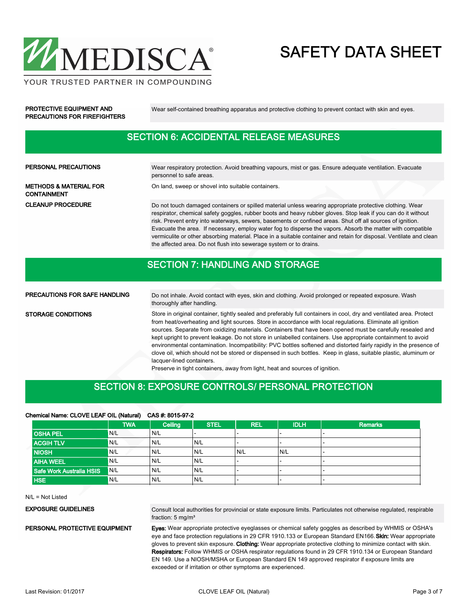

PRECAUTIONS FOR FIREFIGHTERS

PROTECTIVE EQUIPMENT AND Wear self-contained breathing apparatus and protective clothing to prevent contact with skin and eyes.

#### SECTION 6: ACCIDENTAL RELEASE MEASURES

| PERSONAL PRECAUTIONS                                    | Wear respiratory protection. Avoid breathing vapours, mist or gas. Ensure adequate ventilation. Evacuate<br>personnel to safe areas.                                                                                                                                                                                                                                                                                                                                                                                                                                                                                                                |
|---------------------------------------------------------|-----------------------------------------------------------------------------------------------------------------------------------------------------------------------------------------------------------------------------------------------------------------------------------------------------------------------------------------------------------------------------------------------------------------------------------------------------------------------------------------------------------------------------------------------------------------------------------------------------------------------------------------------------|
| <b>METHODS &amp; MATERIAL FOR</b><br><b>CONTAINMENT</b> | On land, sweep or shovel into suitable containers.                                                                                                                                                                                                                                                                                                                                                                                                                                                                                                                                                                                                  |
| <b>CLEANUP PROCEDURE</b>                                | Do not touch damaged containers or spilled material unless wearing appropriate protective clothing. Wear<br>respirator, chemical safety goggles, rubber boots and heavy rubber gloves. Stop leak if you can do it without<br>risk. Prevent entry into waterways, sewers, basements or confined areas. Shut off all sources of ignition.<br>Evacuate the area. If necessary, employ water fog to disperse the vapors. Absorb the matter with compatible<br>vermiculite or other absorbing material. Place in a suitable container and retain for disposal. Ventilate and clean<br>the affected area. Do not flush into sewerage system or to drains. |

#### SECTION 7: HANDLING AND STORAGE

PRECAUTIONS FOR SAFE HANDLING

STORAGE CONDITIONS

Do not inhale. Avoid contact with eyes, skin and clothing. Avoid prolonged or repeated exposure. Wash thoroughly after handling.

Store in original container, tightly sealed and preferably full containers in cool, dry and ventilated area. Protect from heat/overheating and light sources. Store in accordance with local regulations. Eliminate all ignition sources. Separate from oxidizing materials. Containers that have been opened must be carefully resealed and kept upright to prevent leakage. Do not store in unlabelled containers. Use appropriate containment to avoid environmental contamination. Incompatibility: PVC bottles softened and distorted fairly rapidly in the presence of clove oil, which should not be stored or dispensed in such bottles. Keep in glass, suitable plastic, aluminum or lacquer-lined containers.

Preserve in tight containers, away from light, heat and sources of ignition.

#### SECTION 8: EXPOSURE CONTROLS/ PERSONAL PROTECTION

#### Chemical Name: CLOVE LEAF OIL (Natural) CAS #: 8015-97-2

|                          | <b>TWA</b> | Ceiling | <b>STEL</b> | <b>REL</b> | <b>IDLH</b> | <b>Remarks</b> |
|--------------------------|------------|---------|-------------|------------|-------------|----------------|
| <b>OSHA PEL</b>          | N/L        | N/L     |             |            |             |                |
| <b>ACGIH TLV</b>         | N/L        | N/L     | 'N/L        |            |             |                |
| <b>NIOSH</b>             | IN/L       | N/L     | N/L         | N/L        | N/L         |                |
| <b>AIHA WEEL</b>         | N/L        | N/L     | N/L         |            |             |                |
| Safe Work Australia HSIS | N/L        | N/L     | N/L         |            | -           | .              |
| <b>HSE</b>               | N/L        | N/L     | N/L         |            |             |                |

N/L = Not Listed

EXPOSURE GUIDELINES

Consult local authorities for provincial or state exposure limits. Particulates not otherwise regulated, respirable fraction: 5 mg/m³

PERSONAL PROTECTIVE EQUIPMENT

Eyes: Wear appropriate protective eyeglasses or chemical safety goggles as described by WHMIS or OSHA's eye and face protection regulations in 29 CFR 1910.133 or European Standard EN166. Skin: Wear appropriate gloves to prevent skin exposure. Clothing: Wear appropriate protective clothing to minimize contact with skin. Respirators: Follow WHMIS or OSHA respirator regulations found in 29 CFR 1910.134 or European Standard EN 149. Use a NIOSH/MSHA or European Standard EN 149 approved respirator if exposure limits are exceeded or if irritation or other symptoms are experienced.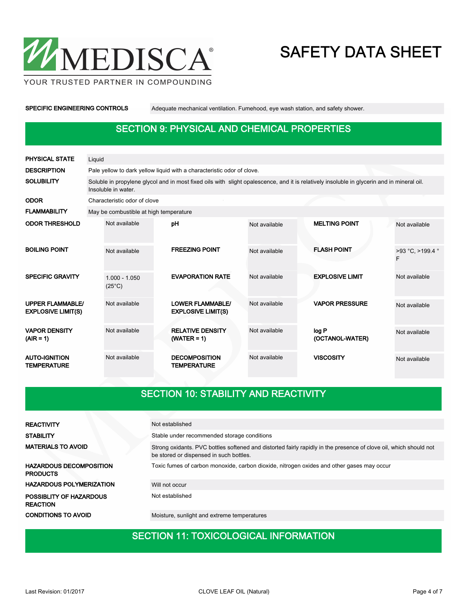

SPECIFIC ENGINEERING CONTROLS Adequate mechanical ventilation. Fumehood, eye wash station, and safety shower.

#### SECTION 9: PHYSICAL AND CHEMICAL PROPERTIES

| <b>PHYSICAL STATE</b>                                | Liquid |                                                                                                                                                                   |  |                                                      |               |  |                          |                       |  |  |  |  |
|------------------------------------------------------|--------|-------------------------------------------------------------------------------------------------------------------------------------------------------------------|--|------------------------------------------------------|---------------|--|--------------------------|-----------------------|--|--|--|--|
| <b>DESCRIPTION</b>                                   |        | Pale yellow to dark yellow liquid with a characteristic odor of clove.                                                                                            |  |                                                      |               |  |                          |                       |  |  |  |  |
| <b>SOLUBILITY</b>                                    |        | Soluble in propylene glycol and in most fixed oils with slight opalescence, and it is relatively insoluble in glycerin and in mineral oil.<br>Insoluble in water. |  |                                                      |               |  |                          |                       |  |  |  |  |
| <b>ODOR</b>                                          |        | Characteristic odor of clove                                                                                                                                      |  |                                                      |               |  |                          |                       |  |  |  |  |
| <b>FLAMMABILITY</b>                                  |        | May be combustible at high temperature                                                                                                                            |  |                                                      |               |  |                          |                       |  |  |  |  |
| <b>ODOR THRESHOLD</b>                                |        | Not available                                                                                                                                                     |  | pH                                                   | Not available |  | <b>MELTING POINT</b>     | Not available         |  |  |  |  |
| <b>BOILING POINT</b>                                 |        | Not available                                                                                                                                                     |  | <b>FREEZING POINT</b>                                | Not available |  | <b>FLASH POINT</b>       | >93 °C. >199.4 °<br>F |  |  |  |  |
| <b>SPECIFIC GRAVITY</b>                              |        | $1.000 - 1.050$<br>$(25^{\circ}C)$                                                                                                                                |  | <b>EVAPORATION RATE</b>                              | Not available |  | <b>EXPLOSIVE LIMIT</b>   | Not available         |  |  |  |  |
| <b>UPPER FLAMMABLE/</b><br><b>EXPLOSIVE LIMIT(S)</b> |        | Not available                                                                                                                                                     |  | <b>LOWER FLAMMABLE/</b><br><b>EXPLOSIVE LIMIT(S)</b> | Not available |  | <b>VAPOR PRESSURE</b>    | Not available         |  |  |  |  |
| <b>VAPOR DENSITY</b><br>$(AIR = 1)$                  |        | Not available                                                                                                                                                     |  | <b>RELATIVE DENSITY</b><br>$(WATER = 1)$             | Not available |  | log P<br>(OCTANOL-WATER) | Not available         |  |  |  |  |
| <b>AUTO-IGNITION</b><br><b>TEMPERATURE</b>           |        | Not available                                                                                                                                                     |  | <b>DECOMPOSITION</b><br>TEMPERATURE                  | Not available |  | <b>VISCOSITY</b>         | Not available         |  |  |  |  |

## SECTION 10: STABILITY AND REACTIVITY

| <b>REACTIVITY</b>                                 | Not established                                                                                                                                              |
|---------------------------------------------------|--------------------------------------------------------------------------------------------------------------------------------------------------------------|
| <b>STABILITY</b>                                  | Stable under recommended storage conditions                                                                                                                  |
| <b>MATERIALS TO AVOID</b>                         | Strong oxidants. PVC bottles softened and distorted fairly rapidly in the presence of clove oil, which should not<br>be stored or dispensed in such bottles. |
| <b>HAZARDOUS DECOMPOSITION</b><br><b>PRODUCTS</b> | Toxic fumes of carbon monoxide, carbon dioxide, nitrogen oxides and other gases may occur                                                                    |
| <b>HAZARDOUS POLYMERIZATION</b>                   | Will not occur                                                                                                                                               |
| <b>POSSIBLITY OF HAZARDOUS</b><br><b>REACTION</b> | Not established                                                                                                                                              |
| <b>CONDITIONS TO AVOID</b>                        | Moisture, sunlight and extreme temperatures                                                                                                                  |
|                                                   |                                                                                                                                                              |

#### SECTION 11: TOXICOLOGICAL INFORMATION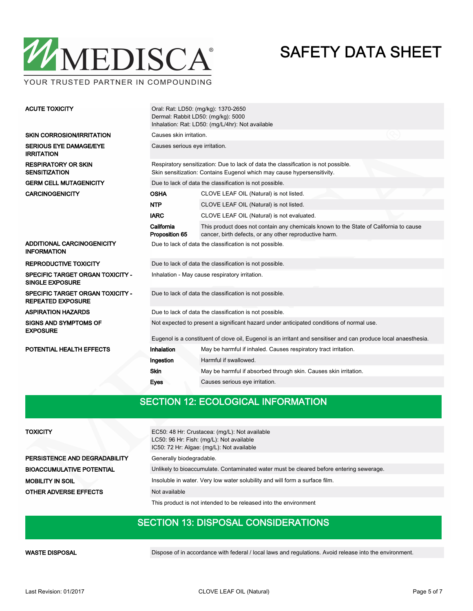

Oral: Rat: LD50: (mg/kg): 1370-2650 Dermal: Rabbit LD50: (mg/kg): 5000 Inhalation: Rat: LD50: (mg/L/4hr): Not available ACUTE TOXICITY SKIN CORROSION/IRRITATION Causes skin irritation. SERIOUS EYE DAMAGE/EYE Causes serious eye irritation. IRRITATION Respiratory sensitization: Due to lack of data the classification is not possible. Skin sensitization: Contains Eugenol which may cause hypersensitivity. RESPIRATORY OR SKIN **SENSITIZATION** GERM CELL MUTAGENICITY Due to lack of data the classification is not possible. CARCINOGENICITY OSHA CLOVE LEAF OIL (Natural) is not listed. NTP CLOVE LEAF OIL (Natural) is not listed. IARC CLOVE LEAF OIL (Natural) is not evaluated. This product does not contain any chemicals known to the State of California to cause cancer, birth defects, or any other reproductive harm. California Proposition 65 ADDITIONAL CARCINOGENICITY INFORMATION Due to lack of data the classification is not possible. REPRODUCTIVE TOXICITY Due to lack of data the classification is not possible. SPECIFIC TARGET ORGAN TOXICITY - Inhalation - May cause respiratory irritation. SINGLE EXPOSURE SPECIFIC TARGET ORGAN TOXICITY - Due to lack of data the classification is not possible. REPEATED EXPOSURE ASPIRATION HAZARDS Due to lack of data the classification is not possible. Not expected to present a significant hazard under anticipated conditions of normal use. Eugenol is a constituent of clove oil, Eugenol is an irritant and sensitiser and can produce local anaesthesia. SIGNS AND SYMPTOMS OF EXPOSURE POTENTIAL HEALTH EFFECTS **Inhalation** May be harmful if inhaled. Causes respiratory tract irritation. Ingestion Harmful if swallowed. Skin May be harmful if absorbed through skin. Causes skin irritation. Eyes Causes serious eye irritation.

#### SECTION 12: ECOLOGICAL INFORMATION

| <b>TOXICITY</b>                  | EC50: 48 Hr: Crustacea: (mg/L): Not available<br>LC50: 96 Hr: Fish: (mg/L): Not available<br>IC50: 72 Hr: Algae: (mg/L): Not available |
|----------------------------------|----------------------------------------------------------------------------------------------------------------------------------------|
| PERSISTENCE AND DEGRADABILITY    | Generally biodegradable.                                                                                                               |
| <b>BIOACCUMULATIVE POTENTIAL</b> | Unlikely to bioaccumulate. Contaminated water must be cleared before entering sewerage.                                                |
| <b>MOBILITY IN SOIL</b>          | Insoluble in water. Very low water solubility and will form a surface film.                                                            |
| OTHER ADVERSE EFFECTS            | Not available                                                                                                                          |
|                                  | This product is not intended to be released into the environment                                                                       |

#### SECTION 13: DISPOSAL CONSIDERATIONS

WASTE DISPOSAL **Dispose of in accordance with federal / local laws and regulations**. Avoid release into the environment.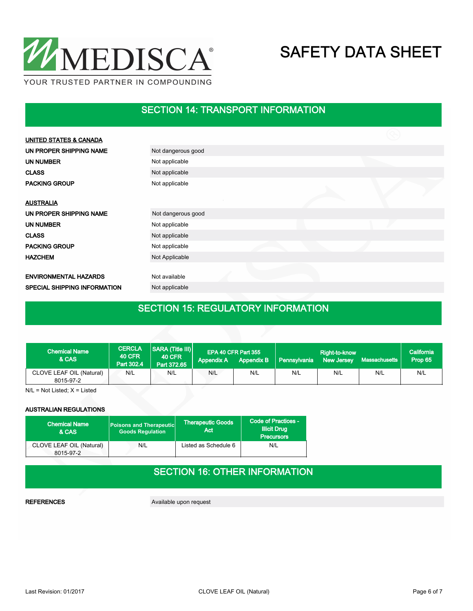

#### SECTION 14: TRANSPORT INFORMATION

| <b>UNITED STATES &amp; CANADA</b>   |                    |  |  |
|-------------------------------------|--------------------|--|--|
| UN PROPER SHIPPING NAME             | Not dangerous good |  |  |
| <b>UN NUMBER</b>                    | Not applicable     |  |  |
| <b>CLASS</b>                        | Not applicable     |  |  |
| <b>PACKING GROUP</b>                | Not applicable     |  |  |
|                                     |                    |  |  |
| <b>AUSTRALIA</b>                    |                    |  |  |
| UN PROPER SHIPPING NAME             | Not dangerous good |  |  |
| UN NUMBER                           | Not applicable     |  |  |
| <b>CLASS</b>                        | Not applicable     |  |  |
| <b>PACKING GROUP</b>                | Not applicable     |  |  |
| <b>HAZCHEM</b>                      | Not Applicable     |  |  |
|                                     |                    |  |  |
| <b>ENVIRONMENTAL HAZARDS</b>        | Not available      |  |  |
| <b>SPECIAL SHIPPING INFORMATION</b> | Not applicable     |  |  |

## SECTION 15: REGULATORY INFORMATION

| <b>Chemical Name</b><br>& CAS         | <b>CERCLA</b><br><b>40 CFR</b><br>Part 302.4 | SARA (Title III)<br><b>40 CFR</b><br>Part 372.65 | <b>Appendix A</b> | EPA 40 CFR Part 355<br><b>Appendix B</b> | <b>Pennsylvania</b> | Right-to-know<br>New Jersey | Massachusetts | California<br>Prop 65 |
|---------------------------------------|----------------------------------------------|--------------------------------------------------|-------------------|------------------------------------------|---------------------|-----------------------------|---------------|-----------------------|
| CLOVE LEAF OIL (Natural)<br>8015-97-2 | N/L                                          | N/L                                              | N/L               | N/L                                      | N/L                 | N/L                         | N/L           | N/L                   |

N/L = Not Listed; X = Listed

#### AUSTRALIAN REGULATIONS

| <b>Chemical Name</b><br>& CAS         | <b>Poisons and Therapeutic</b><br><b>Goods Regulation</b> | <b>Therapeutic Goods</b><br>Act | Code of Practices -<br><b>Illicit Drug</b><br><b>Precursors</b> |
|---------------------------------------|-----------------------------------------------------------|---------------------------------|-----------------------------------------------------------------|
| CLOVE LEAF OIL (Natural)<br>8015-97-2 | N/L                                                       | Listed as Schedule 6            | N/L                                                             |

#### SECTION 16: OTHER INFORMATION

REFERENCES Available upon request